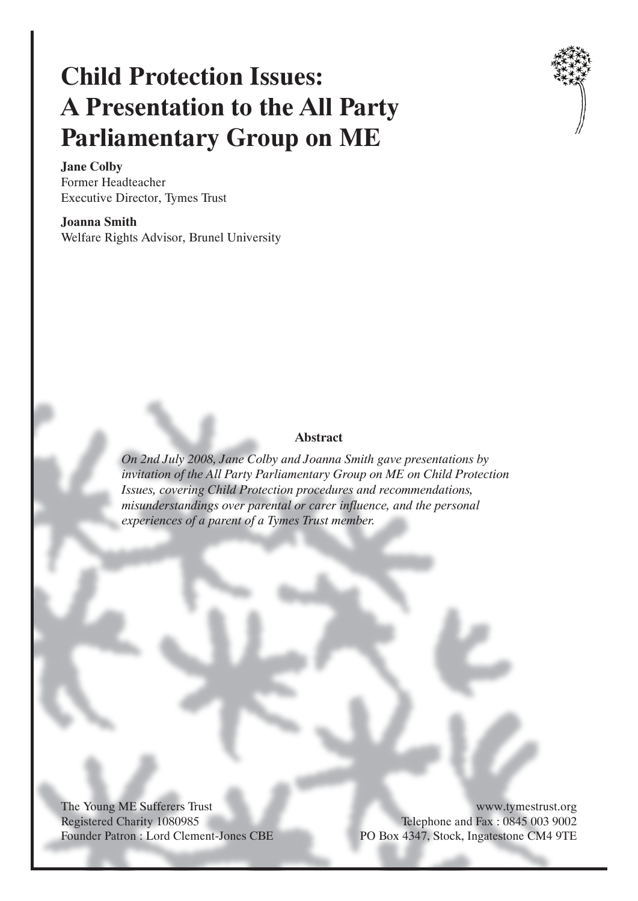# **Child Protection Issues: A Presentation to the All Party Parliamentary Group on ME**



**Jane Colby** Former Headteacher Executive Director, Tymes Trust

**Joanna Smith** Welfare Rights Advisor, Brunel University

#### **Abstract**

*On 2nd July 2008, Jane Colby and Joanna Smith gave presentations by invitation of the All Party Parliamentary Group on ME on Child Protection Issues, covering Child Protection procedures and recommendations, misunderstandings over parental or carer influence, and the personal experiences of a parent of a Tymes Trust member.*

The Young ME Sufferers Trust Registered Charity 1080985 Founder Patron : Lord Clement-Jones CBE

www.tymestrust.org Telephone and Fax : 0845 003 9002 PO Box 4347, Stock, Ingatestone CM4 9TE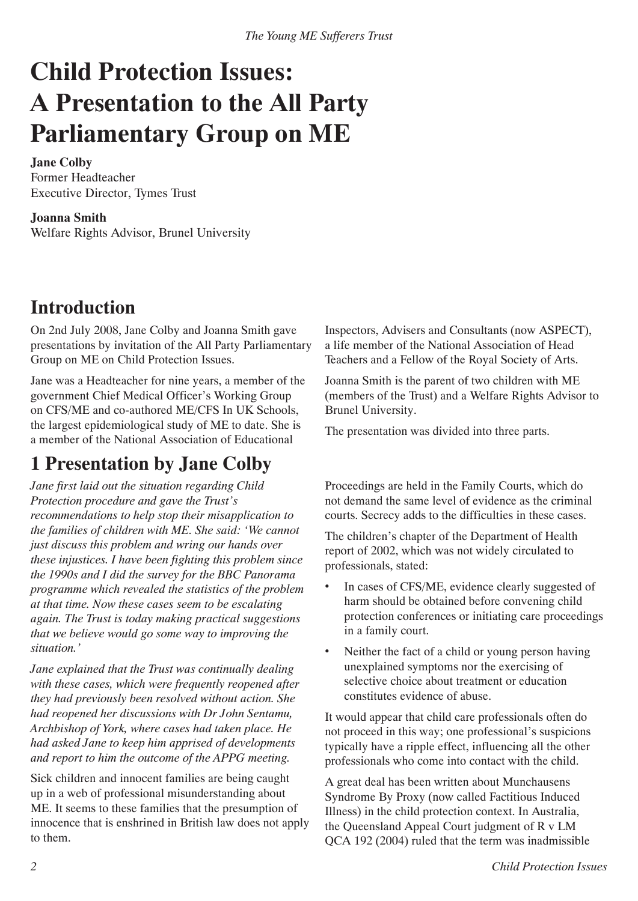# **Child Protection Issues: A Presentation to the All Party Parliamentary Group on ME**

### **Jane Colby**

Former Headteacher Executive Director, Tymes Trust

## **Joanna Smith**

Welfare Rights Advisor, Brunel University

## **Introduction**

On 2nd July 2008, Jane Colby and Joanna Smith gave presentations by invitation of the All Party Parliamentary Group on ME on Child Protection Issues.

Jane was a Headteacher for nine years, a member of the government Chief Medical Officer's Working Group on CFS/ME and co-authored ME/CFS In UK Schools, the largest epidemiological study of ME to date. She is a member of the National Association of Educational

# **1 Presentation by Jane Colby**

*Jane first laid out the situation regarding Child Protection procedure and gave the Trust's recommendations to help stop their misapplication to the families of children with ME. She said: 'We cannot just discuss this problem and wring our hands over these injustices. I have been fighting this problem since the 1990s and I did the survey for the BBC Panorama programme which revealed the statistics of the problem at that time. Now these cases seem to be escalating again. The Trust is today making practical suggestions that we believe would go some way to improving the situation.'*

*Jane explained that the Trust was continually dealing with these cases, which were frequently reopened after they had previously been resolved without action. She had reopened her discussions with Dr John Sentamu, Archbishop of York, where cases had taken place. He had asked Jane to keep him apprised of developments and report to him the outcome of the APPG meeting.*

Sick children and innocent families are being caught up in a web of professional misunderstanding about ME. It seems to these families that the presumption of innocence that is enshrined in British law does not apply to them.

Inspectors, Advisers and Consultants (now ASPECT), a life member of the National Association of Head Teachers and a Fellow of the Royal Society of Arts.

Joanna Smith is the parent of two children with ME (members of the Trust) and a Welfare Rights Advisor to Brunel University.

The presentation was divided into three parts.

Proceedings are held in the Family Courts, which do not demand the same level of evidence as the criminal courts. Secrecy adds to the difficulties in these cases.

The children's chapter of the Department of Health report of 2002, which was not widely circulated to professionals, stated:

- In cases of CFS/ME, evidence clearly suggested of harm should be obtained before convening child protection conferences or initiating care proceedings in a family court. •
- Neither the fact of a child or young person having unexplained symptoms nor the exercising of selective choice about treatment or education constitutes evidence of abuse. •

It would appear that child care professionals often do not proceed in this way; one professional's suspicions typically have a ripple effect, influencing all the other professionals who come into contact with the child.

A great deal has been written about Munchausens Syndrome By Proxy (now called Factitious Induced Illness) in the child protection context. In Australia, the Queensland Appeal Court judgment of R v LM QCA 192 (2004) ruled that the term was inadmissible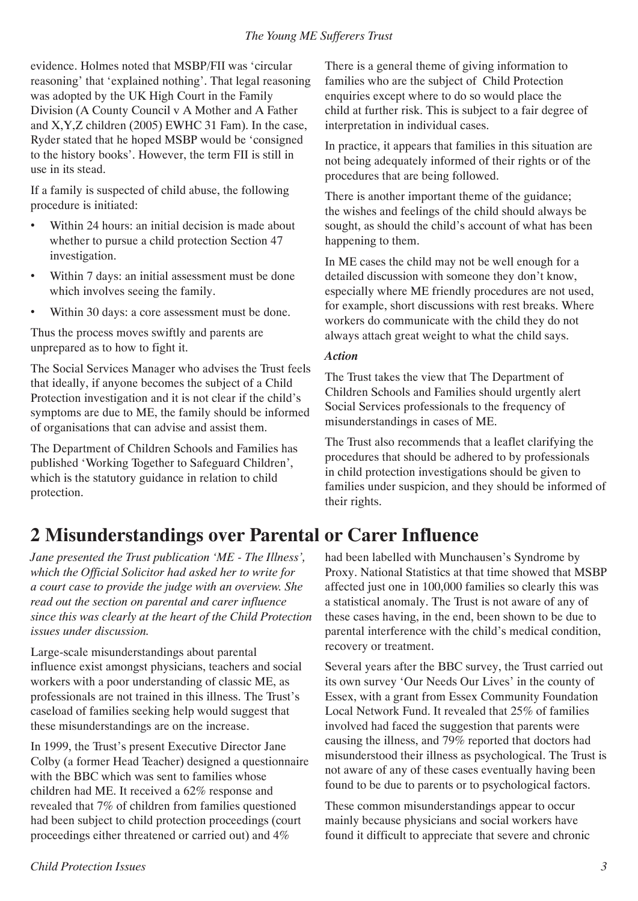#### *The Young ME Sufferers Trust*

evidence. Holmes noted that MSBP/FII was 'circular reasoning' that 'explained nothing'. That legal reasoning was adopted by the UK High Court in the Family Division (A County Council v A Mother and A Father and X,Y,Z children (2005) EWHC 31 Fam). In the case, Ryder stated that he hoped MSBP would be 'consigned to the history books'. However, the term FII is still in use in its stead.

If a family is suspected of child abuse, the following procedure is initiated:

- Within 24 hours: an initial decision is made about whether to pursue a child protection Section 47 investigation. •
- Within 7 days: an initial assessment must be done which involves seeing the family. •
- Within 30 days: a core assessment must be done. •

Thus the process moves swiftly and parents are unprepared as to how to fight it.

The Social Services Manager who advises the Trust feels that ideally, if anyone becomes the subject of a Child Protection investigation and it is not clear if the child's symptoms are due to ME, the family should be informed of organisations that can advise and assist them.

The Department of Children Schools and Families has published 'Working Together to Safeguard Children', which is the statutory guidance in relation to child protection.

**2 Misunderstandings over Parental or Carer Influence**

*Jane presented the Trust publication 'ME - The Illness', which the Official Solicitor had asked her to write for a court case to provide the judge with an overview. She read out the section on parental and carer influence since this was clearly at the heart of the Child Protection issues under discussion.*

Large-scale misunderstandings about parental influence exist amongst physicians, teachers and social workers with a poor understanding of classic ME, as professionals are not trained in this illness. The Trust's caseload of families seeking help would suggest that these misunderstandings are on the increase.

In 1999, the Trust's present Executive Director Jane Colby (a former Head Teacher) designed a questionnaire with the BBC which was sent to families whose children had ME. It received a 62% response and revealed that 7% of children from families questioned had been subject to child protection proceedings (court proceedings either threatened or carried out) and 4%

There is a general theme of giving information to families who are the subject of Child Protection enquiries except where to do so would place the child at further risk. This is subject to a fair degree of interpretation in individual cases.

In practice, it appears that families in this situation are not being adequately informed of their rights or of the procedures that are being followed.

There is another important theme of the guidance; the wishes and feelings of the child should always be sought, as should the child's account of what has been happening to them.

In ME cases the child may not be well enough for a detailed discussion with someone they don't know, especially where ME friendly procedures are not used, for example, short discussions with rest breaks. Where workers do communicate with the child they do not always attach great weight to what the child says.

#### *Action*

The Trust takes the view that The Department of Children Schools and Families should urgently alert Social Services professionals to the frequency of misunderstandings in cases of ME.

The Trust also recommends that a leaflet clarifying the procedures that should be adhered to by professionals in child protection investigations should be given to families under suspicion, and they should be informed of their rights.

had been labelled with Munchausen's Syndrome by Proxy. National Statistics at that time showed that MSBP affected just one in 100,000 families so clearly this was a statistical anomaly. The Trust is not aware of any of these cases having, in the end, been shown to be due to parental interference with the child's medical condition, recovery or treatment.

Several years after the BBC survey, the Trust carried out its own survey 'Our Needs Our Lives' in the county of Essex, with a grant from Essex Community Foundation Local Network Fund. It revealed that 25% of families involved had faced the suggestion that parents were causing the illness, and 79% reported that doctors had misunderstood their illness as psychological. The Trust is not aware of any of these cases eventually having been found to be due to parents or to psychological factors.

These common misunderstandings appear to occur mainly because physicians and social workers have found it difficult to appreciate that severe and chronic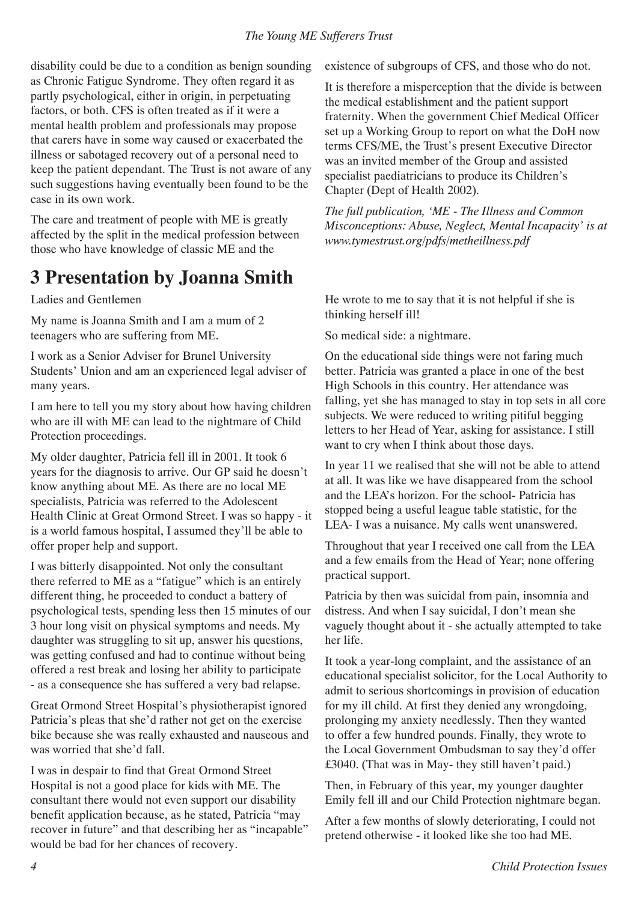#### *The Young ME Sufferers Trust*

disability could be due to a condition as benign sounding as Chronic Fatigue Syndrome. They often regard it as partly psychological, either in origin, in perpetuating factors, or both. CFS is often treated as if it were a mental health problem and professionals may propose that carers have in some way caused or exacerbated the illness or sabotaged recovery out of a personal need to keep the patient dependant. The Trust is not aware of any such suggestions having eventually been found to be the case in its own work.

The care and treatment of people with ME is greatly affected by the split in the medical profession between those who have knowledge of classic ME and the

## **3 Presentation by Joanna Smith**

### Ladies and Gentlemen

My name is Joanna Smith and I am a mum of 2 teenagers who are suffering from ME.

I work as a Senior Adviser for Brunel University Students' Union and am an experienced legal adviser of many years.

I am here to tell you my story about how having children who are ill with ME can lead to the nightmare of Child Protection proceedings.

My older daughter, Patricia fell ill in 2001. It took 6 years for the diagnosis to arrive. Our GP said he doesn't know anything about ME. As there are no local ME specialists, Patricia was referred to the Adolescent Health Clinic at Great Ormond Street. I was so happy - it is a world famous hospital, I assumed they'll be able to offer proper help and support.

I was bitterly disappointed. Not only the consultant there referred to ME as a "fatigue" which is an entirely different thing, he proceeded to conduct a battery of psychological tests, spending less then 15 minutes of our 3 hour long visit on physical symptoms and needs. My daughter was struggling to sit up, answer his questions, was getting confused and had to continue without being offered a rest break and losing her ability to participate - as a consequence she has suffered a very bad relapse.

Great Ormond Street Hospital's physiotherapist ignored Patricia's pleas that she'd rather not get on the exercise bike because she was really exhausted and nauseous and was worried that she'd fall.

I was in despair to find that Great Ormond Street Hospital is not a good place for kids with ME. The consultant there would not even support our disability benefit application because, as he stated, Patricia "may recover in future" and that describing her as "incapable" would be bad for her chances of recovery.

existence of subgroups of CFS, and those who do not.

It is therefore a misperception that the divide is between the medical establishment and the patient support fraternity. When the government Chief Medical Officer set up a Working Group to report on what the DoH now terms CFS/ME, the Trust's present Executive Director was an invited member of the Group and assisted specialist paediatricians to produce its Children's Chapter (Dept of Health 2002).

*The full publication, 'ME - The Illness and Common Misconceptions: Abuse, Neglect, Mental Incapacity' is at www.tymestrust.org/pdfs/metheillness.pdf*

He wrote to me to say that it is not helpful if she is thinking herself ill!

So medical side: a nightmare.

On the educational side things were not faring much better. Patricia was granted a place in one of the best High Schools in this country. Her attendance was falling, yet she has managed to stay in top sets in all core subjects. We were reduced to writing pitiful begging letters to her Head of Year, asking for assistance. I still want to cry when I think about those days.

In year 11 we realised that she will not be able to attend at all. It was like we have disappeared from the school and the LEA's horizon. For the school- Patricia has stopped being a useful league table statistic, for the LEA- I was a nuisance. My calls went unanswered.

Throughout that year I received one call from the LEA and a few emails from the Head of Year; none offering practical support.

Patricia by then was suicidal from pain, insomnia and distress. And when I say suicidal, I don't mean she vaguely thought about it - she actually attempted to take her life.

It took a year-long complaint, and the assistance of an educational specialist solicitor, for the Local Authority to admit to serious shortcomings in provision of education for my ill child. At first they denied any wrongdoing, prolonging my anxiety needlessly. Then they wanted to offer a few hundred pounds. Finally, they wrote to the Local Government Ombudsman to say they'd offer £3040. (That was in May- they still haven't paid.)

Then, in February of this year, my younger daughter Emily fell ill and our Child Protection nightmare began.

After a few months of slowly deteriorating, I could not pretend otherwise - it looked like she too had ME.